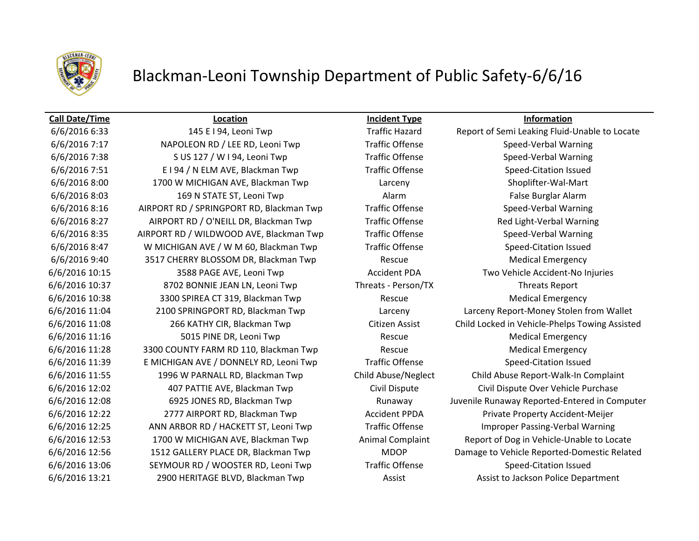

## Blackman-Leoni Township Department of Public Safety-6/6/16

### **Call Date/Time Location Incident Type Information**

6/6/2016 7:17 NAPOLEON RD / LEE RD, Leoni Twp Traffic Offense Speed-Verbal Warning 6/6/2016 7:38 S US 127 / W I 94, Leoni Twp Traffic Offense Speed-Verbal Warning 6/6/2016 7:51 E I 94 / N ELM AVE, Blackman Twp Traffic Offense Speed-Citation Issued 6/6/2016 8:00 1700 W MICHIGAN AVE, Blackman Twp Larceny Shoplifter-Wal-Mart 6/6/2016 8:03 169 N STATE ST, Leoni Twp Alarm Alarm Alarm False Burglar Alarm 6/6/2016 8:16 AIRPORT RD / SPRINGPORT RD, Blackman Twp Traffic Offense Speed-Verbal Warning 6/6/2016 8:27 AIRPORT RD / O'NEILL DR, Blackman Twp Traffic Offense Red Light-Verbal Warning 6/6/2016 8:35 AIRPORT RD / WILDWOOD AVE, Blackman Twp Traffic Offense Speed-Verbal Warning 6/6/2016 8:47 W MICHIGAN AVE / W M 60, Blackman Twp Traffic Offense Speed-Citation Issued 6/6/2016 9:40 3517 CHERRY BLOSSOM DR, Blackman Twp Rescue Medical Emergency 6/6/2016 10:15 3588 PAGE AVE, Leoni Twp Accident PDA Two Vehicle Accident-No Injuries 6/6/2016 10:37 8702 BONNIE JEAN LN, Leoni Twp Threats - Person/TX Threats Report 6/6/2016 10:38 3300 SPIREA CT 319, Blackman Twp Rescue Medical Emergency 6/6/2016 11:16 5015 PINE DR, Leoni Twp Rescue Rescue Medical Emergency 6/6/2016 11:28 3300 COUNTY FARM RD 110, Blackman Twp Rescue Medical Emergency 6/6/2016 11:39 E MICHIGAN AVE / DONNELY RD, Leoni Twp Traffic Offense Speed-Citation Issued 6/6/2016 12:02 407 PATTIE AVE, Blackman Twp Civil Dispute Civil Dispute Over Vehicle Purchase 6/6/2016 12:22 2777 AIRPORT RD, Blackman Twp Accident PPDA Private Property Accident-Meijer 6/6/2016 12:25 ANN ARBOR RD / HACKETT ST, Leoni Twp Traffic Offense Improper Passing-Verbal Warning 6/6/2016 13:06 SEYMOUR RD / WOOSTER RD, Leoni Twp Traffic Offense Speed-Citation Issued 6/6/2016 13:21 2900 HERITAGE BLVD, Blackman Twp **Assist Assist Assist to Jackson Police Department** 

6/6/2016 6:33 145 E I 94, Leoni Twp Traffic Hazard Report of Semi Leaking Fluid-Unable to Locate 6/6/2016 11:04 2100 SPRINGPORT RD, Blackman Twp Larceny Larceny Report-Money Stolen from Wallet 6/6/2016 11:08 266 KATHY CIR, Blackman Twp Citizen Assist Child Locked in Vehicle-Phelps Towing Assisted 6/6/2016 11:55 1996 W PARNALL RD, Blackman Twp Child Abuse/Neglect Child Abuse Report-Walk-In Complaint 6/6/2016 12:08 6925 JONES RD, Blackman Twp Runaway Juvenile Runaway Reported-Entered in Computer 6/6/2016 12:53 1700 W MICHIGAN AVE, Blackman Twp Animal Complaint Report of Dog in Vehicle-Unable to Locate 6/6/2016 12:56 1512 GALLERY PLACE DR, Blackman Twp MDOP Damage to Vehicle Reported-Domestic Related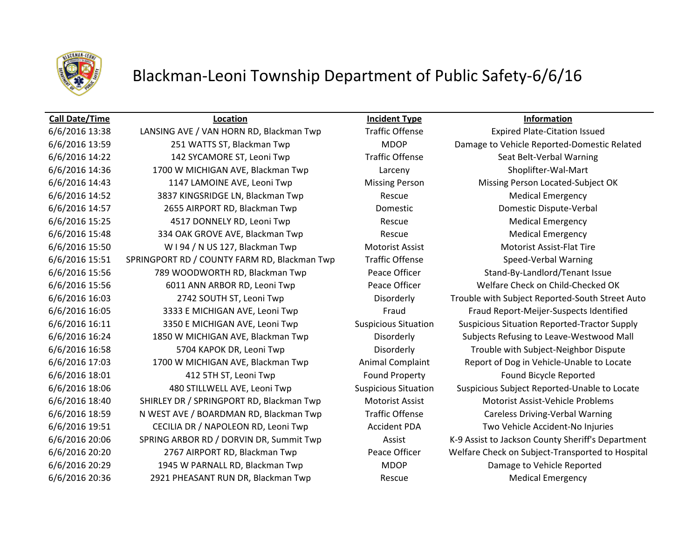

## Blackman-Leoni Township Department of Public Safety-6/6/16

### **Call Date/Time Location Incident Type Information**

6/6/2016 14:22 142 SYCAMORE ST, Leoni Twp Traffic Offense Seat Belt-Verbal Warning 6/6/2016 14:36 1700 W MICHIGAN AVE, Blackman Twp Larceny Shoplifter-Wal-Mart 6/6/2016 14:52 3837 KINGSRIDGE LN, Blackman Twp Rescue Medical Emergency 6/6/2016 14:57 2655 AIRPORT RD, Blackman Twp Domestic Domestic Dispute-Verbal 6/6/2016 15:25 4517 DONNELY RD, Leoni Twp Rescue Medical Emergency 6/6/2016 15:48 334 OAK GROVE AVE, Blackman Twp Rescue Rescue Medical Emergency 6/6/2016 15:50 W I 94 / N US 127, Blackman Twp Motorist Assist Motorist Assist Motorist Assist-Flat Tire 6/6/2016 15:51 SPRINGPORT RD / COUNTY FARM RD, Blackman Twp Traffic Offense Speed-Verbal Warning 6/6/2016 15:56 789 WOODWORTH RD, Blackman Twp Peace Officer Stand-By-Landlord/Tenant Issue 6/6/2016 18:01 412 5TH ST, Leoni Twp Found Property Found Bicycle Reported 6/6/2016 18:40 SHIRLEY DR / SPRINGPORT RD, Blackman Twp Motorist Assist Motorist Assist-Vehicle Problems 6/6/2016 18:59 N WEST AVE / BOARDMAN RD, Blackman Twp Traffic Offense Careless Driving-Verbal Warning 6/6/2016 19:51 CECILIA DR / NAPOLEON RD, Leoni Twp Accident PDA Two Vehicle Accident-No Injuries 6/6/2016 20:29 1945 W PARNALL RD, Blackman Twp MDOP Damage to Vehicle Reported 6/6/2016 20:36 2921 PHEASANT RUN DR, Blackman Twp Rescue Rescue Medical Emergency

6/6/2016 13:38 LANSING AVE / VAN HORN RD, Blackman Twp Traffic Offense Expired Plate-Citation Issued 6/6/2016 13:59 251 WATTS ST, Blackman Twp MDOP Damage to Vehicle Reported-Domestic Related 6/6/2016 14:43 1147 LAMOINE AVE, Leoni Twp Missing Person Missing Person Located-Subject OK 6/6/2016 15:56 6011 ANN ARBOR RD, Leoni Twp Peace Officer Welfare Check on Child-Checked OK 6/6/2016 16:03 2742 SOUTH ST, Leoni Twp Disorderly Trouble with Subject Reported-South Street Auto 6/6/2016 16:05 3333 E MICHIGAN AVE, Leoni Twp Fraud Fraud Report-Meijer-Suspects Identified 6/6/2016 16:11 3350 E MICHIGAN AVE, Leoni Twp Suspicious Situation Suspicious Situation Reported-Tractor Supply 6/6/2016 16:24 1850 W MICHIGAN AVE, Blackman Twp Disorderly Subjects Refusing to Leave-Westwood Mall 6/6/2016 16:58 5704 KAPOK DR, Leoni Twp Disorderly Trouble with Subject-Neighbor Dispute 6/6/2016 17:03 1700 W MICHIGAN AVE, Blackman Twp Animal Complaint Report of Dog in Vehicle-Unable to Locate 6/6/2016 18:06 480 STILLWELL AVE, Leoni Twp Suspicious Situation Suspicious Subject Reported-Unable to Locate 6/6/2016 20:06 SPRING ARBOR RD / DORVIN DR, Summit Twp Assist K-9 Assist to Jackson County Sheriff's Department 6/6/2016 20:20 2767 AIRPORT RD, Blackman Twp Peace Officer Welfare Check on Subject-Transported to Hospital